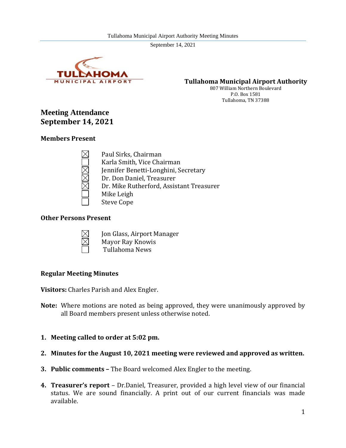

**Tullahoma Municipal Airport Authority**

807 William Northern Boulevard P.O. Box 1581 Tullahoma, TN 37388

# **Meeting Attendance September 14, 2021**

#### **Members Present**

Paul Sirks, Chairman Karla Smith, Vice Chairman Jennifer Benetti-Longhini, Secretary Dr. Don Daniel, Treasurer Dr. Mike Rutherford, Assistant Treasurer Mike Leigh Steve Cope

# **Other Persons Present**



- Jon Glass, Airport Manager Mayor Ray Knowis
- Tullahoma News

#### **Regular Meeting Minutes**

**Visitors:** Charles Parish and Alex Engler.

- **Note:** Where motions are noted as being approved, they were unanimously approved by all Board members present unless otherwise noted.
- **1. Meeting called to order at 5:02 pm.**
- **2. Minutes for the August 10, 2021 meeting were reviewed and approved as written.**
- **3. Public comments –** The Board welcomed Alex Engler to the meeting.
- **4. Treasurer's report**  Dr.Daniel, Treasurer, provided a high level view of our financial status. We are sound financially. A print out of our current financials was made available.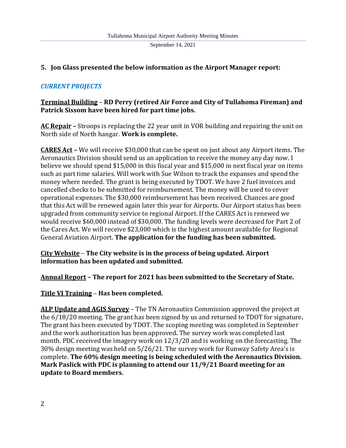#### **5. Jon Glass presented the below information as the Airport Manager report:**

#### *CURRENT PROJECTS*

# **Terminal Building** – **RD Perry (retired Air Force and City of Tullahoma Fireman) and Patrick Sissom have been hired for part time jobs.**

**AC Repair –** Stroops is replacing the 22 year unit in VOR building and repairing the unit on North side of North hangar. **Work is complete.**

**CARES Act –** We will receive \$30,000 that can be spent on just about any Airport items. The Aeronautics Division should send us an application to receive the money any day now. I believe we should spend \$15,000 in this fiscal year and \$15,000 in next fiscal year on items such as part time salaries. Will work with Sue Wilson to track the expanses and spend the money where needed. The grant is being executed by TDOT. We have 2 fuel invoices and cancelled checks to be submitted for reimbursement. The money will be used to cover operational expenses. The \$30,000 reimbursement has been received. Chances are good that this Act will be renewed again later this year for Airports. Our Airport status has been upgraded from community service to regional Airport. If the CARES Act is renewed we would receive \$60,000 instead of \$30,000. The funding levels were decreased for Part 2 of the Cares Act. We will receive \$23,000 which is the highest amount available for Regional General Aviation Airport. **The application for the funding has been submitted.**

**City Website** – **The City website is in the process of being updated. Airport information has been updated and submitted.**

#### **Annual Report – The report for 2021 has been submitted to the Secretary of State.**

**Title VI Training** – **Has been completed.**

**ALP Update and AGIS Survey** – The TN Aeronautics Commission approved the project at the 6/18/20 meeting. The grant has been signed by us and returned to TDOT for signature**.** The grant has been executed by TDOT. The scoping meeting was completed in September and the work authorization has been approved**.** The survey work was completed last month. PDC received the imagery work on 12/3/20 and is working on the forecasting. The 30% design meeting was held on 5/26/21. The survey work for Runway Safety Area's is complete. **The 60% design meeting is being scheduled with the Aeronautics Division. Mark Paslick with PDC is planning to attend our 11/9/21 Board meeting for an update to Board members.**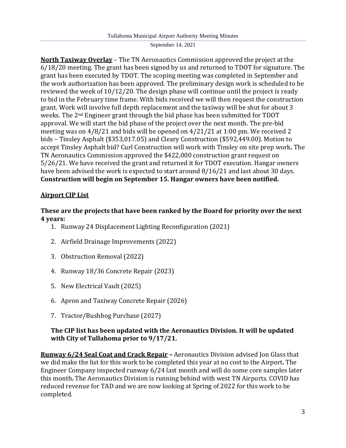**North Taxiway Overlay** – The TN Aeronautics Commission approved the project at the 6/18/20 meeting. The grant has been signed by us and returned to TDOT for signature. The grant has been executed by TDOT. The scoping meeting was completed in September and the work authorization has been approved. The preliminary design work is scheduled to be reviewed the week of 10/12/20. The design phase will continue until the project is ready to bid in the February time frame. With bids received we will then request the construction grant. Work will involve full depth replacement and the taxiway will be shut for about 3 weeks. The 2nd Engineer grant through the bid phase has been submitted for TDOT approval. We will start the bid phase of the project over the next month. The pre-bid meeting was on 4/8/21 and bids will be opened on 4/21/21 at 1:00 pm. We received 2 bids – Tinsley Asphalt (\$353,017.05) and Cleary Construction (\$592,449.00). Motion to accept Tinsley Asphalt bid? Curl Construction will work with Tinsley on site prep work**.** The TN Aeronautics Commission approved the \$422,000 construction grant request on 5/26/21. We have received the grant and returned it for TDOT execution. Hangar owners have been advised the work is expected to start around 8/16/21 and last about 30 days. **Construction will begin on September 15. Hangar owners have been notified.**

# **Airport CIP List**

# **These are the projects that have been ranked by the Board for priority over the next 4 years:**

- 1. Runway 24 Displacement Lighting Reconfiguration (2021)
- 2. Airfield Drainage Improvements (2022)
- 3. Obstruction Removal (2022)
- 4. Runway 18/36 Concrete Repair (2023)
- 5. New Electrical Vault (2025)
- 6. Apron and Taxiway Concrete Repair (2026)
- 7. Tractor/Bushhog Purchase (2027)

# **The CIP list has been updated with the Aeronautics Division. It will be updated with City of Tullahoma prior to 9/17/21.**

**Runway 6/24 Seal Coat and Crack Repair –** Aeronautics Division advised Jon Glass that we did make the list for this work to be completed this year at no cost to the Airport**.** The Engineer Company inspected runway 6/24 last month and will do some core samples later this month**.** The Aeronautics Division is running behind with west TN Airports. COVID has reduced revenue for TAD and we are now looking at Spring of 2022 for this work to be completed.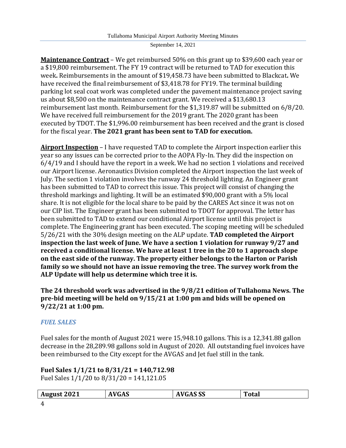**Maintenance Contract** – We get reimbursed 50% on this grant up to \$39,600 each year or a \$19,800 reimbursement. The FY 19 contract will be returned to TAD for execution this week**.** Reimbursements in the amount of \$19,458.73 have been submitted to Blackcat**.** We have received the final reimbursement of \$3,418.78 for FY19. The terminal building parking lot seal coat work was completed under the pavement maintenance project saving us about \$8,500 on the maintenance contract grant. We received a \$13,680.13 reimbursement last month. Reimbursement for the \$1,319.87 will be submitted on 6/8/20. We have received full reimbursement for the 2019 grant. The 2020 grant has been executed by TDOT. The \$1,996.00 reimbursement has been received and the grant is closed for the fiscal year. **The 2021 grant has been sent to TAD for execution.**

**Airport Inspection** – I have requested TAD to complete the Airport inspection earlier this year so any issues can be corrected prior to the AOPA Fly-In. They did the inspection on 6/4/19 and I should have the report in a week. We had no section 1 violations and received our Airport license. Aeronautics Division completed the Airport inspection the last week of July. The section 1 violation involves the runway 24 threshold lighting. An Engineer grant has been submitted to TAD to correct this issue. This project will consist of changing the threshold markings and lighting. It will be an estimated \$90,000 grant with a 5% local share. It is not eligible for the local share to be paid by the CARES Act since it was not on our CIP list. The Engineer grant has been submitted to TDOT for approval. The letter has been submitted to TAD to extend our conditional Airport license until this project is complete. The Engineering grant has been executed. The scoping meeting will be scheduled 5/26/21 with the 30% design meeting on the ALP update. **TAD completed the Airport inspection the last week of June. We have a section 1 violation for runway 9/27 and received a conditional license. We have at least 1 tree in the 20 to 1 approach slope on the east side of the runway. The property either belongs to the Harton or Parish family so we should not have an issue removing the tree. The survey work from the ALP Update will help us determine which tree it is.**

**The 24 threshold work was advertised in the 9/8/21 edition of Tullahoma News. The pre-bid meeting will be held on 9/15/21 at 1:00 pm and bids will be opened on 9/22/21 at 1:00 pm.**

# *FUEL SALES*

Fuel sales for the month of August 2021 were 15,948.10 gallons. This is a 12,341.88 gallon decrease in the 28,289.98 gallons sold in August of 2020. All outstanding fuel invoices have been reimbursed to the City except for the AVGAS and Jet fuel still in the tank.

#### **Fuel Sales 1/1/21 to 8/31/21 = 140,712.98** Fuel Sales 1/1/20 to 8/31/20 = 141,121.05

| <b>August 2021</b> | <b>NGAS</b> | VGAS SS<br>л. | Total |
|--------------------|-------------|---------------|-------|
| 4                  |             |               |       |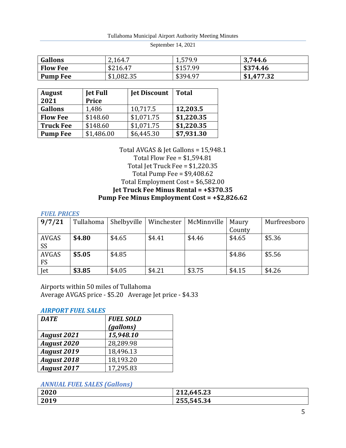Tullahoma Municipal Airport Authority Meeting Minutes

September 14, 2021

| <b>Gallons</b>  | 2,164.7    | 1,579.9  | 3,744.6    |
|-----------------|------------|----------|------------|
| <b>Flow Fee</b> | \$216.47   | \$157.99 | \$374.46   |
| Pump Fee        | \$1,082.35 | \$394.97 | \$1,477.32 |

| <b>August</b><br>2021 | <b>Jet Full</b><br><b>Price</b> | <b>Jet Discount</b> | <b>Total</b> |
|-----------------------|---------------------------------|---------------------|--------------|
| <b>Gallons</b>        | 1,486                           | 10,717.5            | 12,203.5     |
| <b>Flow Fee</b>       | \$148.60                        | \$1,071.75          | \$1,220.35   |
| <b>Truck Fee</b>      | \$148.60                        | \$1,071.75          | \$1,220.35   |
| <b>Pump Fee</b>       | \$1,486.00                      | \$6,445.30          | \$7,931.30   |

Total AVGAS & Jet Gallons = 15,948.1 Total Flow Fee = \$1,594.81 Total Jet Truck Fee = \$1,220.35 Total Pump Fee = \$9,408.62 Total Employment Cost = \$6,582.00 **Jet Truck Fee Minus Rental = +\$370.35 Pump Fee Minus Employment Cost = +\$2,826.62**

#### *FUEL PRICES*

| 9/7/21       | Tullahoma | Shelbyville | Winchester | McMinnville | Maury  | Murfreesboro |
|--------------|-----------|-------------|------------|-------------|--------|--------------|
|              |           |             |            |             | County |              |
| AVGAS        | \$4.80    | \$4.65      | \$4.41     | \$4.46      | \$4.65 | \$5.36       |
| <b>SS</b>    |           |             |            |             |        |              |
| <b>AVGAS</b> | \$5.05    | \$4.85      |            |             | \$4.86 | \$5.56       |
| FS           |           |             |            |             |        |              |
| Jet          | \$3.85    | \$4.05      | \$4.21     | \$3.75      | \$4.15 | \$4.26       |

Airports within 50 miles of Tullahoma Average AVGAS price - \$5.20 Average Jet price - \$4.33

#### *AIRPORT FUEL SALES*

| <b>DATE</b>        | <b>FUEL SOLD</b> |
|--------------------|------------------|
|                    | (gallons)        |
| <b>August 2021</b> | 15,948.10        |
| <b>August 2020</b> | 28,289.98        |
| <b>August 2019</b> | 18,496.13        |
| <b>August 2018</b> | 18,193.20        |
| <b>August 2017</b> | 17,295.83        |

#### *ANNUAL FUEL SALES (Gallons)*

| 2020 | 212,645.23 |
|------|------------|
| 2019 | 255,545.34 |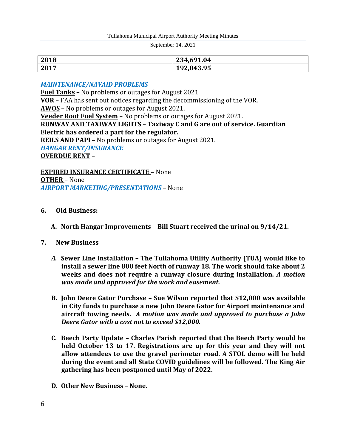| 2018 | 234,691.04 |
|------|------------|
| 2017 | 192,043.95 |

#### *MAINTENANCE/NAVAID PROBLEMS*

**Fuel Tanks –** No problems or outages for August 2021 **VOR** – FAA has sent out notices regarding the decommissioning of the VOR. **AWOS** – No problems or outages for August 2021. **Veeder Root Fuel System** – No problems or outages for August 2021. **RUNWAY AND TAXIWAY LIGHTS** – **Taxiway C and G are out of service. Guardian Electric has ordered a part for the regulator. REILS AND PAPI** – No problems or outages for August 2021. *HANGAR RENT/INSURANCE* **OVERDUE RENT** –

**EXPIRED INSURANCE CERTIFICATE** – None **OTHER** – None *AIRPORT MARKETING/PRESENTATIONS* – None

#### **6. Old Business:**

**A. North Hangar Improvements – Bill Stuart received the urinal on 9/14/21.**

#### **7. New Business**

- *A.* **Sewer Line Installation – The Tullahoma Utility Authority (TUA) would like to install a sewer line 800 feet North of runway 18. The work should take about 2 weeks and does not require a runway closure during installation.** *A motion was made and approved for the work and easement.*
- **B. John Deere Gator Purchase – Sue Wilson reported that \$12,000 was available in City funds to purchase a new John Deere Gator for Airport maintenance and aircraft towing needs.** *A motion was made and approved to purchase a John Deere Gator with a cost not to exceed \$12,000.*
- **C. Beech Party Update – Charles Parish reported that the Beech Party would be held October 13 to 17. Registrations are up for this year and they will not allow attendees to use the gravel perimeter road. A STOL demo will be held during the event and all State COVID guidelines will be followed. The King Air gathering has been postponed until May of 2022.**
- **D. Other New Business – None.**